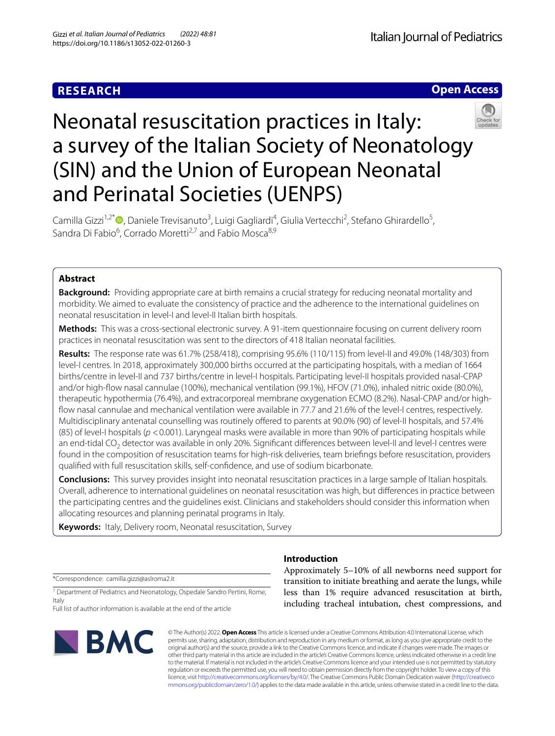## **RESEARCH**



# Neonatal resuscitation practices in Italy: a survey of the Italian Society of Neonatology (SIN) and the Union of European Neonatal and Perinatal Societies (UENPS)

Camilla Gizzi<sup>1,2[\\*](http://orcid.org/0000-0003-3305-7014)</sup>®, Daniele Trevisanuto<sup>3</sup>, Luigi Gagliardi<sup>4</sup>, Giulia Vertecchi<sup>2</sup>, Stefano Ghirardello<sup>5</sup>, Sandra Di Fabio<sup>6</sup>, Corrado Moretti<sup>2,7</sup> and Fabio Mosca<sup>8,9</sup>

### **Abstract**

**Background:** Providing appropriate care at birth remains a crucial strategy for reducing neonatal mortality and morbidity. We aimed to evaluate the consistency of practice and the adherence to the international guidelines on neonatal resuscitation in level-I and level-II Italian birth hospitals.

**Methods:** This was a cross-sectional electronic survey. A 91-item questionnaire focusing on current delivery room practices in neonatal resuscitation was sent to the directors of 418 Italian neonatal facilities.

**Results:** The response rate was 61.7% (258/418), comprising 95.6% (110/115) from level-II and 49.0% (148/303) from level-I centres. In 2018, approximately 300,000 births occurred at the participating hospitals, with a median of 1664 births/centre in level-II and 737 births/centre in level-I hospitals. Participating level-II hospitals provided nasal-CPAP and/or high-fow nasal cannulae (100%), mechanical ventilation (99.1%), HFOV (71.0%), inhaled nitric oxide (80.0%), therapeutic hypothermia (76.4%), and extracorporeal membrane oxygenation ECMO (8.2%). Nasal-CPAP and/or highfow nasal cannulae and mechanical ventilation were available in 77.7 and 21.6% of the level-I centres, respectively. Multidisciplinary antenatal counselling was routinely offered to parents at 90.0% (90) of level-II hospitals, and 57.4% (85) of level-I hospitals (*p* <0.001). Laryngeal masks were available in more than 90% of participating hospitals while an end-tidal CO<sub>2</sub> detector was available in only 20%. Significant differences between level-II and level-I centres were found in the composition of resuscitation teams for high-risk deliveries, team briefngs before resuscitation, providers qualifed with full resuscitation skills, self-confdence, and use of sodium bicarbonate.

**Conclusions:** This survey provides insight into neonatal resuscitation practices in a large sample of Italian hospitals. Overall, adherence to international guidelines on neonatal resuscitation was high, but diferences in practice between the participating centres and the guidelines exist. Clinicians and stakeholders should consider this information when allocating resources and planning perinatal programs in Italy.

**Keywords:** Italy, Delivery room, Neonatal resuscitation, Survey

\*Correspondence: camilla.gizzi@aslroma2.it

<sup>1</sup> Department of Pediatrics and Neonatology, Ospedale Sandro Pertini, Rome, Italy

Full list of author information is available at the end of the article



### **Introduction**

Approximately 5–10% of all newborns need support for transition to initiate breathing and aerate the lungs, while less than 1% require advanced resuscitation at birth, including tracheal intubation, chest compressions, and

© The Author(s) 2022. **Open Access** This article is licensed under a Creative Commons Attribution 4.0 International License, which permits use, sharing, adaptation, distribution and reproduction in any medium or format, as long as you give appropriate credit to the original author(s) and the source, provide a link to the Creative Commons licence, and indicate if changes were made. The images or other third party material in this article are included in the article's Creative Commons licence, unless indicated otherwise in a credit line to the material. If material is not included in the article's Creative Commons licence and your intended use is not permitted by statutory regulation or exceeds the permitted use, you will need to obtain permission directly from the copyright holder. To view a copy of this licence, visit [http://creativecommons.org/licenses/by/4.0/.](http://creativecommons.org/licenses/by/4.0/) The Creative Commons Public Domain Dedication waiver ([http://creativeco](http://creativecommons.org/publicdomain/zero/1.0/) [mmons.org/publicdomain/zero/1.0/](http://creativecommons.org/publicdomain/zero/1.0/)) applies to the data made available in this article, unless otherwise stated in a credit line to the data.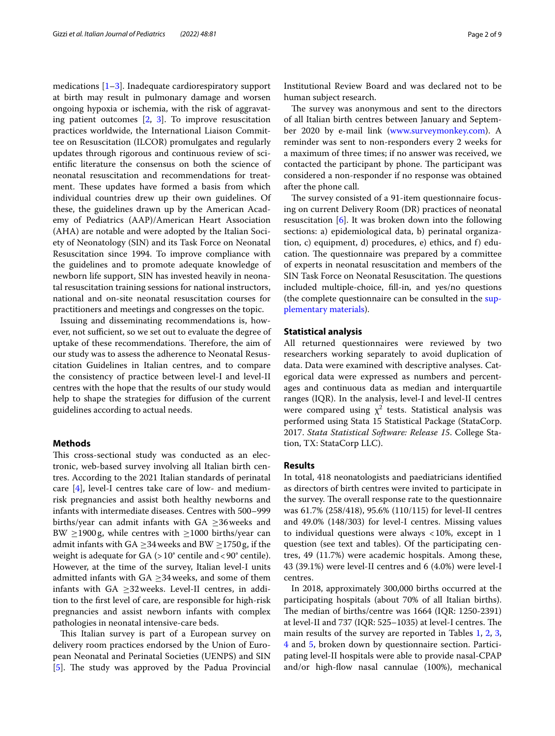medications [[1](#page-8-0)[–3](#page-8-1)]. Inadequate cardiorespiratory support at birth may result in pulmonary damage and worsen ongoing hypoxia or ischemia, with the risk of aggravating patient outcomes [\[2,](#page-8-2) [3](#page-8-1)]. To improve resuscitation practices worldwide, the International Liaison Committee on Resuscitation (ILCOR) promulgates and regularly updates through rigorous and continuous review of scientifc literature the consensus on both the science of neonatal resuscitation and recommendations for treatment. These updates have formed a basis from which individual countries drew up their own guidelines. Of these, the guidelines drawn up by the American Academy of Pediatrics (AAP)/American Heart Association (AHA) are notable and were adopted by the Italian Society of Neonatology (SIN) and its Task Force on Neonatal Resuscitation since 1994. To improve compliance with the guidelines and to promote adequate knowledge of newborn life support, SIN has invested heavily in neonatal resuscitation training sessions for national instructors, national and on-site neonatal resuscitation courses for practitioners and meetings and congresses on the topic.

Issuing and disseminating recommendations is, however, not sufficient, so we set out to evaluate the degree of uptake of these recommendations. Therefore, the aim of our study was to assess the adherence to Neonatal Resuscitation Guidelines in Italian centres, and to compare the consistency of practice between level-I and level-II centres with the hope that the results of our study would help to shape the strategies for difusion of the current guidelines according to actual needs.

### **Methods**

This cross-sectional study was conducted as an electronic, web-based survey involving all Italian birth centres. According to the 2021 Italian standards of perinatal care [[4\]](#page-8-3), level-I centres take care of low- and mediumrisk pregnancies and assist both healthy newborns and infants with intermediate diseases. Centres with 500–999 births/year can admit infants with  $GA \geq 36$  weeks and BW  $\geq$ 1900g, while centres with  $\geq$ 1000 births/year can admit infants with GA  $\geq$ 34 weeks and BW  $\geq$ 1750 g, if the weight is adequate for  $GA$  ( $>10^{\circ}$  centile and  $<90^{\circ}$  centile). However, at the time of the survey, Italian level-I units admitted infants with GA  $\geq$ 34 weeks, and some of them infants with GA  $\geq$ 32 weeks. Level-II centres, in addition to the frst level of care, are responsible for high-risk pregnancies and assist newborn infants with complex pathologies in neonatal intensive-care beds.

This Italian survey is part of a European survey on delivery room practices endorsed by the Union of European Neonatal and Perinatal Societies (UENPS) and SIN [[5\]](#page-8-4). The study was approved by the Padua Provincial Institutional Review Board and was declared not to be human subject research.

The survey was anonymous and sent to the directors of all Italian birth centres between January and September 2020 by e-mail link ([www.surveymonkey.com\)](http://www.surveymonkey.com). A reminder was sent to non-responders every 2 weeks for a maximum of three times; if no answer was received, we contacted the participant by phone. The participant was considered a non-responder if no response was obtained after the phone call.

The survey consisted of a 91-item questionnaire focusing on current Delivery Room (DR) practices of neonatal resuscitation [[6\]](#page-8-5). It was broken down into the following sections: a) epidemiological data, b) perinatal organization, c) equipment, d) procedures, e) ethics, and f) education. The questionnaire was prepared by a committee of experts in neonatal resuscitation and members of the SIN Task Force on Neonatal Resuscitation. The questions included multiple-choice, fll-in, and yes/no questions (the complete questionnaire can be consulted in the [sup](#page-7-0)[plementary materials](#page-7-0)).

### **Statistical analysis**

All returned questionnaires were reviewed by two researchers working separately to avoid duplication of data. Data were examined with descriptive analyses. Categorical data were expressed as numbers and percentages and continuous data as median and interquartile ranges (IQR). In the analysis, level-I and level-II centres were compared using  $\chi^2$  tests. Statistical analysis was performed using Stata 15 Statistical Package (StataCorp. 2017. *Stata Statistical Software: Release 15*. College Station, TX: StataCorp LLC).

### **Results**

In total, 418 neonatologists and paediatricians identifed as directors of birth centres were invited to participate in the survey. The overall response rate to the questionnaire was 61.7% (258/418), 95.6% (110/115) for level-II centres and 49.0% (148/303) for level-I centres. Missing values to individual questions were always <10%, except in 1 question (see text and tables). Of the participating centres, 49 (11.7%) were academic hospitals. Among these, 43 (39.1%) were level-II centres and 6 (4.0%) were level-I centres.

In 2018, approximately 300,000 births occurred at the participating hospitals (about 70% of all Italian births). The median of births/centre was  $1664$  (IQR: 1250-2391) at level-II and  $737$  (IQR:  $525-1035$ ) at level-I centres. The main results of the survey are reported in Tables [1,](#page-2-0) [2](#page-3-0), [3](#page-3-1), [4](#page-4-0) and [5,](#page-6-0) broken down by questionnaire section. Participating level-II hospitals were able to provide nasal-CPAP and/or high-fow nasal cannulae (100%), mechanical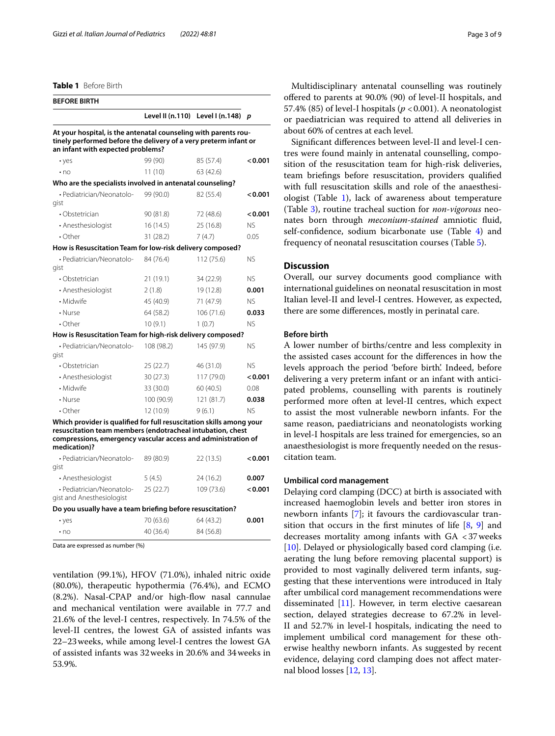<span id="page-2-0"></span>**Table 1** Before Birth

| <b>BEFORE BIRTH</b>                                                                                                                                                                                 |                  |                 |                |
|-----------------------------------------------------------------------------------------------------------------------------------------------------------------------------------------------------|------------------|-----------------|----------------|
|                                                                                                                                                                                                     | Level II (n.110) | Level I (n.148) | p              |
| At your hospital, is the antenatal counseling with parents rou-<br>tinely performed before the delivery of a very preterm infant or<br>an infant with expected problems?                            |                  |                 |                |
| • yes                                                                                                                                                                                               | 99 (90)          | 85 (57.4)       | < 0.001        |
| $\cdot$ no                                                                                                                                                                                          | 11(10)           | 63 (42.6)       |                |
| Who are the specialists involved in antenatal counseling?                                                                                                                                           |                  |                 |                |
| · Pediatrician/Neonatolo-<br>gist                                                                                                                                                                   | 99 (90.0)        | 82 (55.4)       | < 0.001        |
| $\cdot$ Obstetrician                                                                                                                                                                                | 90 (81.8)        | 72 (48.6)       | < 0.001        |
| • Anesthesiologist                                                                                                                                                                                  | 16(14.5)         | 25 (16.8)       | <b>NS</b>      |
| $\cdot$ Other                                                                                                                                                                                       | 31 (28.2)        | 7(4.7)          | 0.05           |
| How is Resuscitation Team for low-risk delivery composed?                                                                                                                                           |                  |                 |                |
| • Pediatrician/Neonatolo-                                                                                                                                                                           | 84 (76.4)        | 112 (75.6)      | NS.            |
| gist                                                                                                                                                                                                |                  |                 |                |
| • Obstetrician                                                                                                                                                                                      | 21 (19.1)        | 34 (22.9)       | NS.            |
| • Anesthesiologist                                                                                                                                                                                  | 2(1.8)           | 19 (12.8)       | 0.001          |
| • Midwife                                                                                                                                                                                           | 45 (40.9)        | 71 (47.9)       | NS.            |
| • Nurse                                                                                                                                                                                             | 64 (58.2)        | 106(71.6)       | 0.033          |
| $\cdot$ Other                                                                                                                                                                                       | 10(9.1)          | 1(0.7)          | NS.            |
| How is Resuscitation Team for high-risk delivery composed?                                                                                                                                          |                  |                 |                |
| • Pediatrician/Neonatolo-<br>gist                                                                                                                                                                   | 108 (98.2)       | 145 (97.9)      | N <sub>S</sub> |
| $\cdot$ Obstetrician                                                                                                                                                                                | 25(22.7)         | 46 (31.0)       | <b>NS</b>      |
| • Anesthesiologist                                                                                                                                                                                  | 30 (27.3)        | 117 (79.0)      | < 0.001        |
| • Midwife                                                                                                                                                                                           | 33 (30.0)        | 60 (40.5)       | 0.08           |
| • Nurse                                                                                                                                                                                             | 100 (90.9)       | 121 (81.7)      | 0.038          |
| $\cdot$ Other                                                                                                                                                                                       | 12 (10.9)        | 9(6.1)          | <b>NS</b>      |
| Which provider is qualified for full resuscitation skills among your<br>resuscitation team members (endotracheal intubation, chest<br>compressions, emergency vascular access and administration of |                  |                 |                |
| medication)?<br>• Pediatrician/Neonatolo-                                                                                                                                                           | 89 (80.9)        | 22 (13.5)       | < 0.001        |

| • Pediatrician/Neonatolo-<br>gist                      | 89 (80.9) | ZZ (13.5)  | $<$ 0.00 1 |
|--------------------------------------------------------|-----------|------------|------------|
| • Anesthesiologist                                     | 5(4.5)    | 24(16.2)   | 0.007      |
| · Pediatrician/Neonatolo-<br>gist and Anesthesiologist | 25(22.7)  | 109 (73.6) | < 0.001    |
|                                                        |           |            |            |

### **Do you usually have a team briefng before resuscitation?**

| $\cdot$ yes | 70 (63.6) | 64 (43.2) | 0.001 |
|-------------|-----------|-----------|-------|
| $\cdot$ no  | 40(36.4)  | 84 (56.8) |       |

Data are expressed as number (%)

ventilation (99.1%), HFOV (71.0%), inhaled nitric oxide (80.0%), therapeutic hypothermia (76.4%), and ECMO (8.2%). Nasal-CPAP and/or high-fow nasal cannulae and mechanical ventilation were available in 77.7 and 21.6% of the level-I centres, respectively. In 74.5% of the level-II centres, the lowest GA of assisted infants was 22–23weeks, while among level-I centres the lowest GA of assisted infants was 32weeks in 20.6% and 34weeks in 53.9%.

Multidisciplinary antenatal counselling was routinely ofered to parents at 90.0% (90) of level-II hospitals, and 57.4% (85) of level-I hospitals ( $p < 0.001$ ). A neonatologist or paediatrician was required to attend all deliveries in about 60% of centres at each level.

Signifcant diferences between level-II and level-I centres were found mainly in antenatal counselling, composition of the resuscitation team for high-risk deliveries, team briefngs before resuscitation, providers qualifed with full resuscitation skills and role of the anaesthesiologist (Table [1](#page-2-0)), lack of awareness about temperature (Table [3](#page-3-1)), routine tracheal suction for *non*-*vigorous* neonates born through *meconium*-*stained* amniotic fuid, self-confidence, sodium bicarbonate use (Table [4](#page-4-0)) and frequency of neonatal resuscitation courses (Table [5\)](#page-6-0).

### **Discussion**

Overall, our survey documents good compliance with international guidelines on neonatal resuscitation in most Italian level-II and level-I centres. However, as expected, there are some diferences, mostly in perinatal care.

### **Before birth**

A lower number of births/centre and less complexity in the assisted cases account for the diferences in how the levels approach the period 'before birth'. Indeed, before delivering a very preterm infant or an infant with anticipated problems, counselling with parents is routinely performed more often at level-II centres, which expect to assist the most vulnerable newborn infants. For the same reason, paediatricians and neonatologists working in level-I hospitals are less trained for emergencies, so an anaesthesiologist is more frequently needed on the resuscitation team.

### **Umbilical cord management**

Delaying cord clamping (DCC) at birth is associated with increased haemoglobin levels and better iron stores in newborn infants [\[7](#page-8-6)]; it favours the cardiovascular transition that occurs in the first minutes of life  $[8, 9]$  $[8, 9]$  $[8, 9]$  $[8, 9]$  and decreases mortality among infants with GA <37weeks [[10\]](#page-8-9). Delayed or physiologically based cord clamping (i.e. aerating the lung before removing placental support) is provided to most vaginally delivered term infants, suggesting that these interventions were introduced in Italy after umbilical cord management recommendations were disseminated [[11\]](#page-8-10). However, in term elective caesarean section, delayed strategies decrease to 67.2% in level-II and 52.7% in level-I hospitals, indicating the need to implement umbilical cord management for these otherwise healthy newborn infants. As suggested by recent evidence, delaying cord clamping does not afect maternal blood losses [[12](#page-8-11), [13\]](#page-8-12).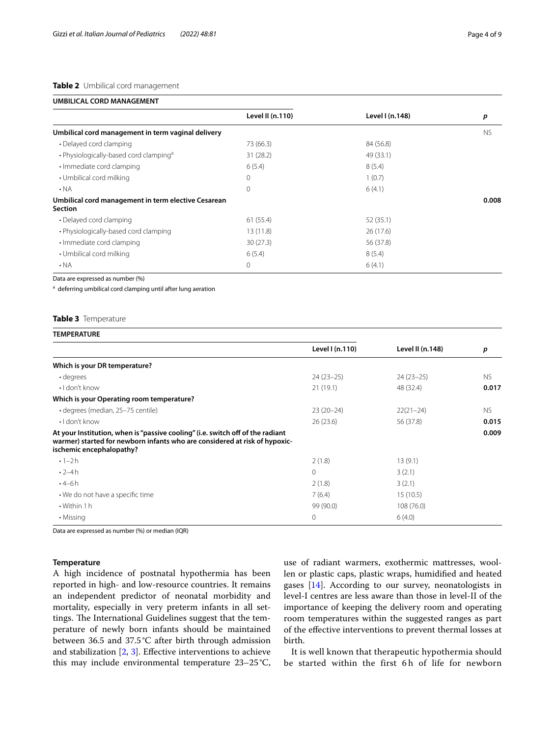### <span id="page-3-0"></span>**Table 2** Umbilical cord management

| UMBILICAL CORD MANAGEMENT |  |  |
|---------------------------|--|--|
|---------------------------|--|--|

|                                                                       | Level II (n.110) | Level I (n.148) | p         |
|-----------------------------------------------------------------------|------------------|-----------------|-----------|
| Umbilical cord management in term vaginal delivery                    |                  |                 | <b>NS</b> |
| • Delayed cord clamping                                               | 73 (66.3)        | 84 (56.8)       |           |
| • Physiologically-based cord clamping <sup>a</sup>                    | 31(28.2)         | 49 (33.1)       |           |
| · Immediate cord clamping                                             | 6(5.4)           | 8(5.4)          |           |
| • Umbilical cord milking                                              | 0                | 1(0.7)          |           |
| $\cdot$ NA                                                            | $\Omega$         | 6(4.1)          |           |
| Umbilical cord management in term elective Cesarean<br><b>Section</b> |                  |                 | 0.008     |
| • Delayed cord clamping                                               | 61 (55.4)        | 52 (35.1)       |           |
| • Physiologically-based cord clamping                                 | 13(11.8)         | 26(17.6)        |           |
| · Immediate cord clamping                                             | 30(27.3)         | 56 (37.8)       |           |
| • Umbilical cord milking                                              | 6(5.4)           | 8(5.4)          |           |
| $\cdot$ NA                                                            | 0                | 6(4.1)          |           |
|                                                                       |                  |                 |           |

Data are expressed as number (%)

<sup>a</sup> deferring umbilical cord clamping until after lung aeration

### <span id="page-3-1"></span>**Table 3** Temperature

| <b>TEMPERATURE</b>                                                                                                                                                                       |                 |                  |           |
|------------------------------------------------------------------------------------------------------------------------------------------------------------------------------------------|-----------------|------------------|-----------|
|                                                                                                                                                                                          | Level I (n.110) | Level II (n.148) | p         |
| Which is your DR temperature?                                                                                                                                                            |                 |                  |           |
| · degrees                                                                                                                                                                                | $24(23-25)$     | $24(23-25)$      | NS.       |
| $\cdot$ I don't know                                                                                                                                                                     | 21(19.1)        | 48 (32.4)        | 0.017     |
| Which is your Operating room temperature?                                                                                                                                                |                 |                  |           |
| · degrees (median, 25-75 centile)                                                                                                                                                        | $23(20-24)$     | $22(21-24)$      | <b>NS</b> |
| $\cdot$ I don't know                                                                                                                                                                     | 26(23.6)        | 56 (37.8)        | 0.015     |
| At your Institution, when is "passive cooling" (i.e. switch off of the radiant<br>warmer) started for newborn infants who are considered at risk of hypoxic-<br>ischemic encephalopathy? |                 |                  | 0.009     |
| $\cdot$ 1-2 h                                                                                                                                                                            | 2(1.8)          | 13(9.1)          |           |
| $\cdot$ 2-4h                                                                                                                                                                             | $\Omega$        | 3(2.1)           |           |
| $.4 - 6h$                                                                                                                                                                                | 2(1.8)          | 3(2.1)           |           |
| • We do not have a specific time                                                                                                                                                         | 7(6.4)          | 15(10.5)         |           |
| $\cdot$ Within 1 h                                                                                                                                                                       | 99 (90.0)       | 108(76.0)        |           |
| • Missing                                                                                                                                                                                | 0               | 6(4.0)           |           |

Data are expressed as number (%) or median (IQR)

### **Temperature**

A high incidence of postnatal hypothermia has been reported in high- and low-resource countries. It remains an independent predictor of neonatal morbidity and mortality, especially in very preterm infants in all settings. The International Guidelines suggest that the temperature of newly born infants should be maintained between 36.5 and 37.5°C after birth through admission and stabilization  $[2, 3]$  $[2, 3]$  $[2, 3]$  $[2, 3]$ . Effective interventions to achieve this may include environmental temperature 23–25°C, use of radiant warmers, exothermic mattresses, woollen or plastic caps, plastic wraps, humidifed and heated gases [\[14\]](#page-8-13). According to our survey, neonatologists in level-I centres are less aware than those in level-II of the importance of keeping the delivery room and operating room temperatures within the suggested ranges as part of the efective interventions to prevent thermal losses at birth.

It is well known that therapeutic hypothermia should be started within the first 6h of life for newborn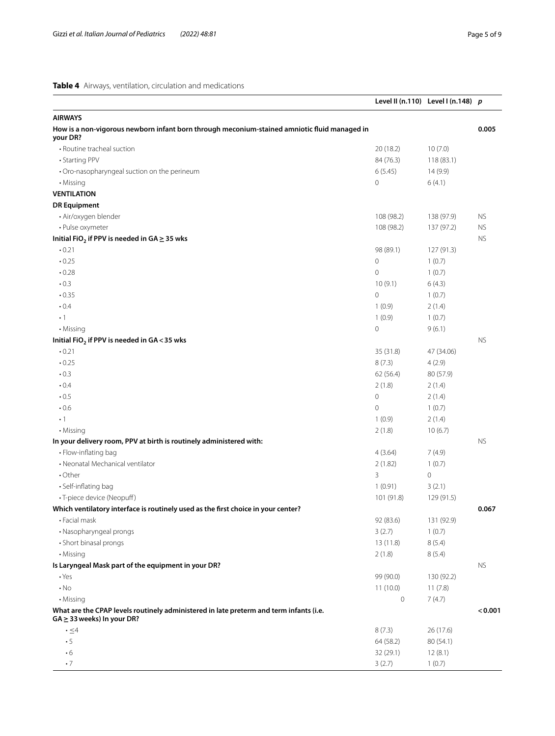<span id="page-4-0"></span>**Table 4** Airways, ventilation, circulation and medications

|                                                                                                                           |             | Level II (n.110) Level I (n.148) $p$ |           |
|---------------------------------------------------------------------------------------------------------------------------|-------------|--------------------------------------|-----------|
| <b>AIRWAYS</b>                                                                                                            |             |                                      |           |
| How is a non-vigorous newborn infant born through meconium-stained amniotic fluid managed in<br>your DR?                  |             |                                      | 0.005     |
| • Routine tracheal suction                                                                                                | 20(18.2)    | 10(7.0)                              |           |
| • Starting PPV                                                                                                            | 84 (76.3)   | 118 (83.1)                           |           |
| • Oro-nasopharyngeal suction on the perineum                                                                              | 6(5.45)     | 14 (9.9)                             |           |
| • Missing                                                                                                                 | 0           | 6(4.1)                               |           |
| <b>VENTILATION</b>                                                                                                        |             |                                      |           |
| <b>DR Equipment</b>                                                                                                       |             |                                      |           |
| · Air/oxygen blender                                                                                                      | 108 (98.2)  | 138 (97.9)                           | <b>NS</b> |
| • Pulse oxymeter                                                                                                          | 108 (98.2)  | 137 (97.2)                           | <b>NS</b> |
| Initial FiO <sub>2</sub> if PPV is needed in GA $\geq$ 35 wks                                                             |             |                                      | <b>NS</b> |
| .0.21                                                                                                                     | 98 (89.1)   | 127 (91.3)                           |           |
| .0.25                                                                                                                     | 0           | 1(0.7)                               |           |
| .0.28                                                                                                                     | 0           | 1(0.7)                               |           |
| $\cdot$ 0.3                                                                                                               | 10(9.1)     | 6(4.3)                               |           |
| .0.35                                                                                                                     | 0           | 1(0.7)                               |           |
| $\cdot$ 0.4                                                                                                               | 1(0.9)      | 2(1.4)                               |           |
| $\cdot$ 1                                                                                                                 | 1(0.9)      | 1(0.7)                               |           |
| • Missing                                                                                                                 | 0           | 9(6.1)                               |           |
| Initial $FiO2$ if PPV is needed in GA < 35 wks                                                                            |             |                                      | <b>NS</b> |
| .0.21                                                                                                                     | 35 (31.8)   | 47 (34.06)                           |           |
| .0.25                                                                                                                     | 8(7.3)      | 4(2.9)                               |           |
| .0.3                                                                                                                      | 62(56.4)    | 80 (57.9)                            |           |
| $\cdot 0.4$                                                                                                               | 2(1.8)      | 2(1.4)                               |           |
| $\cdot 0.5$                                                                                                               | 0           | 2(1.4)                               |           |
| $\cdot$ 0.6                                                                                                               | 0           | 1(0.7)                               |           |
| $\cdot$ 1                                                                                                                 | 1(0.9)      | 2(1.4)                               |           |
| • Missing                                                                                                                 | 2(1.8)      | 10(6.7)                              |           |
| In your delivery room, PPV at birth is routinely administered with:                                                       |             |                                      | <b>NS</b> |
| • Flow-inflating bag                                                                                                      | 4(3.64)     | 7(4.9)                               |           |
| • Neonatal Mechanical ventilator                                                                                          | 2(1.82)     | 1(0.7)                               |           |
| $\cdot$ Other                                                                                                             | 3           | $\circ$                              |           |
| · Self-inflating bag                                                                                                      | 1(0.91)     | 3(2.1)                               |           |
| · T-piece device (Neopuff)                                                                                                | 101 (91.8)  | 129 (91.5)                           |           |
| Which ventilatory interface is routinely used as the first choice in your center?                                         |             |                                      | 0.067     |
| • Facial mask                                                                                                             | 92 (83.6)   | 131 (92.9)                           |           |
| • Nasopharyngeal prongs                                                                                                   | 3(2.7)      | 1(0.7)                               |           |
| • Short binasal prongs                                                                                                    | 13 (11.8)   | 8(5.4)                               |           |
| • Missing                                                                                                                 | 2(1.8)      | 8(5.4)                               |           |
| Is Laryngeal Mask part of the equipment in your DR?                                                                       |             |                                      | <b>NS</b> |
| $\cdot$ Yes                                                                                                               | 99 (90.0)   | 130 (92.2)                           |           |
| $\cdot$ No                                                                                                                | 11(10.0)    | 11(7.8)                              |           |
| • Missing                                                                                                                 | $\mathbb O$ | 7(4.7)                               |           |
| What are the CPAP levels routinely administered in late preterm and term infants (i.e.<br>$GA \geq 33$ weeks) In your DR? |             |                                      | < 0.001   |
| $\cdot \leq 4$                                                                                                            | 8(7.3)      | 26 (17.6)                            |           |
| $\cdot$ 5                                                                                                                 | 64 (58.2)   | 80 (54.1)                            |           |
| $\cdot 6$                                                                                                                 | 32 (29.1)   | 12(8.1)                              |           |
| $\cdot$ 7                                                                                                                 | 3(2.7)      | 1(0.7)                               |           |
|                                                                                                                           |             |                                      |           |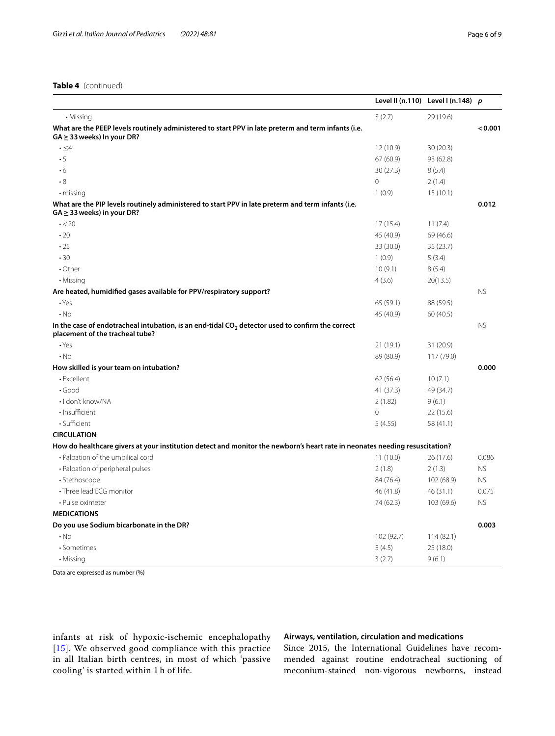|                                                                                                                                        |                | Level II (n.110) Level I (n.148) $p$ |           |
|----------------------------------------------------------------------------------------------------------------------------------------|----------------|--------------------------------------|-----------|
| • Missing                                                                                                                              | 3(2.7)         | 29 (19.6)                            |           |
| What are the PEEP levels routinely administered to start PPV in late preterm and term infants (i.e.<br>$GA \geq 33$ weeks) In your DR? |                |                                      | < 0.001   |
| $\cdot \leq 4$                                                                                                                         | 12 (10.9)      | 30(20.3)                             |           |
| $\cdot$ 5                                                                                                                              | 67 (60.9)      | 93 (62.8)                            |           |
| $\cdot 6$                                                                                                                              | 30(27.3)       | 8(5.4)                               |           |
| $\boldsymbol{\cdot}$ 8                                                                                                                 | $\overline{O}$ | 2(1.4)                               |           |
| • missing                                                                                                                              | 1(0.9)         | 15(10.1)                             |           |
| What are the PIP levels routinely administered to start PPV in late preterm and term infants (i.e.<br>$GA \geq 33$ weeks) in your DR?  |                |                                      | 0.012     |
| $\cdot$ < 20                                                                                                                           | 17(15.4)       | 11(7.4)                              |           |
| $\cdot$ 20                                                                                                                             | 45 (40.9)      | 69 (46.6)                            |           |
| .25                                                                                                                                    | 33 (30.0)      | 35 (23.7)                            |           |
| .30                                                                                                                                    | 1(0.9)         | 5(3.4)                               |           |
| $\cdot$ Other                                                                                                                          | 10(9.1)        | 8(5.4)                               |           |
| • Missing                                                                                                                              | 4(3.6)         | 20(13.5)                             |           |
| Are heated, humidified gases available for PPV/respiratory support?                                                                    |                |                                      | <b>NS</b> |
| $\cdot$ Yes                                                                                                                            | 65 (59.1)      | 88 (59.5)                            |           |
| $\cdot$ No                                                                                                                             | 45 (40.9)      | 60 (40.5)                            |           |
| In the case of endotracheal intubation, is an end-tidal $CO2$ detector used to confirm the correct<br>placement of the tracheal tube?  |                |                                      | <b>NS</b> |
| $\cdot$ Yes                                                                                                                            | 21(19.1)       | 31(20.9)                             |           |
| $\cdot$ No                                                                                                                             | 89 (80.9)      | 117(79.0)                            |           |
| How skilled is your team on intubation?                                                                                                |                |                                      | 0.000     |
| • Excellent                                                                                                                            | 62 (56.4)      | 10(7.1)                              |           |
| $\cdot$ Good                                                                                                                           | 41 (37.3)      | 49 (34.7)                            |           |
| · I don't know/NA                                                                                                                      | 2(1.82)        | 9(6.1)                               |           |
| · Insufficient                                                                                                                         | 0              | 22 (15.6)                            |           |
| · Sufficient                                                                                                                           | 5(4.55)        | 58 (41.1)                            |           |
| <b>CIRCULATION</b>                                                                                                                     |                |                                      |           |
| How do healthcare givers at your institution detect and monitor the newborn's heart rate in neonates needing resuscitation?            |                |                                      |           |
| • Palpation of the umbilical cord                                                                                                      | 11(10.0)       | 26 (17.6)                            | 0.086     |
| • Palpation of peripheral pulses                                                                                                       | 2(1.8)         | 2(1.3)                               | <b>NS</b> |
| · Stethoscope                                                                                                                          | 84 (76.4)      | 102 (68.9)                           | <b>NS</b> |
| • Three lead ECG monitor                                                                                                               | 46 (41.8)      | 46 (31.1)                            | 0.075     |
| • Pulse oximeter                                                                                                                       | 74 (62.3)      | 103 (69.6)                           | <b>NS</b> |
| <b>MEDICATIONS</b>                                                                                                                     |                |                                      |           |
| Do you use Sodium bicarbonate in the DR?                                                                                               |                |                                      | 0.003     |
| $\cdot$ No                                                                                                                             | 102 (92.7)     | 114(82.1)                            |           |
| · Sometimes                                                                                                                            | 5(4.5)         | 25 (18.0)                            |           |
| • Missing                                                                                                                              | 3(2.7)         | 9(6.1)                               |           |

Data are expressed as number (%)

infants at risk of hypoxic-ischemic encephalopathy [[15](#page-8-14)]. We observed good compliance with this practice in all Italian birth centres, in most of which 'passive cooling' is started within 1 h of life.

### **Airways, ventilation, circulation and medications**

Since 2015, the International Guidelines have recommended against routine endotracheal suctioning of meconium-stained non-vigorous newborns, instead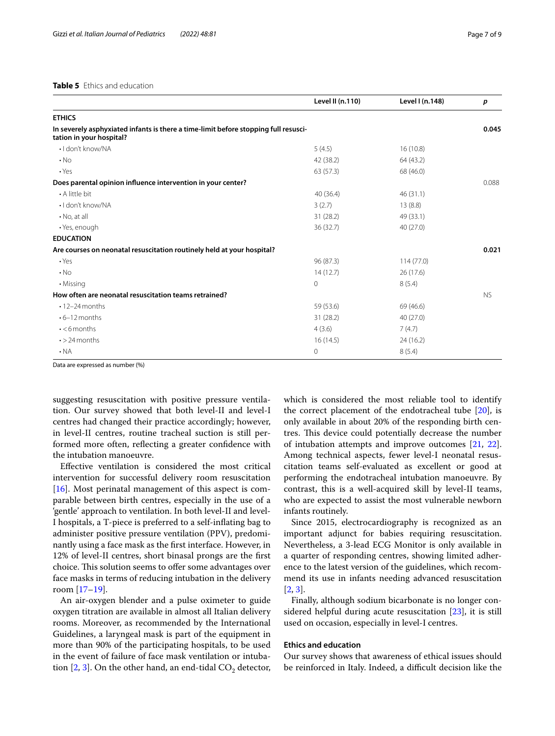<span id="page-6-0"></span>

|                                                                                                                 | Level II (n.110) | Level I (n.148) | p         |
|-----------------------------------------------------------------------------------------------------------------|------------------|-----------------|-----------|
| <b>ETHICS</b>                                                                                                   |                  |                 |           |
| In severely asphyxiated infants is there a time-limit before stopping full resusci-<br>tation in your hospital? |                  |                 | 0.045     |
| $\cdot$ I don't know/NA                                                                                         | 5(4.5)           | 16(10.8)        |           |
| $\cdot$ No                                                                                                      | 42 (38.2)        | 64 (43.2)       |           |
| $\cdot$ Yes                                                                                                     | 63(57.3)         | 68 (46.0)       |           |
| Does parental opinion influence intervention in your center?                                                    |                  |                 | 0.088     |
| • A little bit                                                                                                  | 40 (36.4)        | 46(31.1)        |           |
| $\cdot$ I don't know/NA                                                                                         | 3(2.7)           | 13(8.8)         |           |
| $\cdot$ No, at all                                                                                              | 31(28.2)         | 49 (33.1)       |           |
| · Yes, enough                                                                                                   | 36(32.7)         | 40(27.0)        |           |
| <b>EDUCATION</b>                                                                                                |                  |                 |           |
| Are courses on neonatal resuscitation routinely held at your hospital?                                          |                  |                 | 0.021     |
| $\cdot$ Yes                                                                                                     | 96 (87.3)        | 114(77.0)       |           |
| $\cdot$ No                                                                                                      | 14(12.7)         | 26(17.6)        |           |
| • Missing                                                                                                       | $\circ$          | 8(5.4)          |           |
| How often are neonatal resuscitation teams retrained?                                                           |                  |                 | <b>NS</b> |
| $\cdot$ 12-24 months                                                                                            | 59 (53.6)        | 69 (46.6)       |           |
| $\cdot$ 6-12 months                                                                                             | 31(28.2)         | 40 (27.0)       |           |
| $\cdot$ <6 months                                                                                               | 4(3.6)           | 7(4.7)          |           |
| $\cdot$ > 24 months                                                                                             | 16(14.5)         | 24 (16.2)       |           |
| $\cdot$ NA                                                                                                      | 0                | 8(5.4)          |           |

Data are expressed as number (%)

suggesting resuscitation with positive pressure ventilation. Our survey showed that both level-II and level-I centres had changed their practice accordingly; however, in level-II centres, routine tracheal suction is still performed more often, refecting a greater confdence with the intubation manoeuvre.

Efective ventilation is considered the most critical intervention for successful delivery room resuscitation  $[16]$  $[16]$ . Most perinatal management of this aspect is comparable between birth centres, especially in the use of a 'gentle' approach to ventilation. In both level-II and level-I hospitals, a T-piece is preferred to a self-infating bag to administer positive pressure ventilation (PPV), predominantly using a face mask as the frst interface. However, in 12% of level-II centres, short binasal prongs are the frst choice. This solution seems to offer some advantages over face masks in terms of reducing intubation in the delivery room [[17](#page-8-16)[–19](#page-8-17)].

An air-oxygen blender and a pulse oximeter to guide oxygen titration are available in almost all Italian delivery rooms. Moreover, as recommended by the International Guidelines, a laryngeal mask is part of the equipment in more than 90% of the participating hospitals, to be used in the event of failure of face mask ventilation or intubation  $[2, 3]$  $[2, 3]$  $[2, 3]$  $[2, 3]$  $[2, 3]$ . On the other hand, an end-tidal  $CO_2$  detector, which is considered the most reliable tool to identify the correct placement of the endotracheal tube [[20\]](#page-8-18), is only available in about 20% of the responding birth centres. This device could potentially decrease the number of intubation attempts and improve outcomes [\[21](#page-8-19), [22](#page-8-20)]. Among technical aspects, fewer level-I neonatal resuscitation teams self-evaluated as excellent or good at performing the endotracheal intubation manoeuvre. By contrast, this is a well-acquired skill by level-II teams, who are expected to assist the most vulnerable newborn infants routinely.

Since 2015, electrocardiography is recognized as an important adjunct for babies requiring resuscitation. Nevertheless, a 3-lead ECG Monitor is only available in a quarter of responding centres, showing limited adherence to the latest version of the guidelines, which recommend its use in infants needing advanced resuscitation [[2,](#page-8-2) [3](#page-8-1)].

Finally, although sodium bicarbonate is no longer considered helpful during acute resuscitation [[23](#page-8-21)], it is still used on occasion, especially in level-I centres.

### **Ethics and education**

Our survey shows that awareness of ethical issues should be reinforced in Italy. Indeed, a difficult decision like the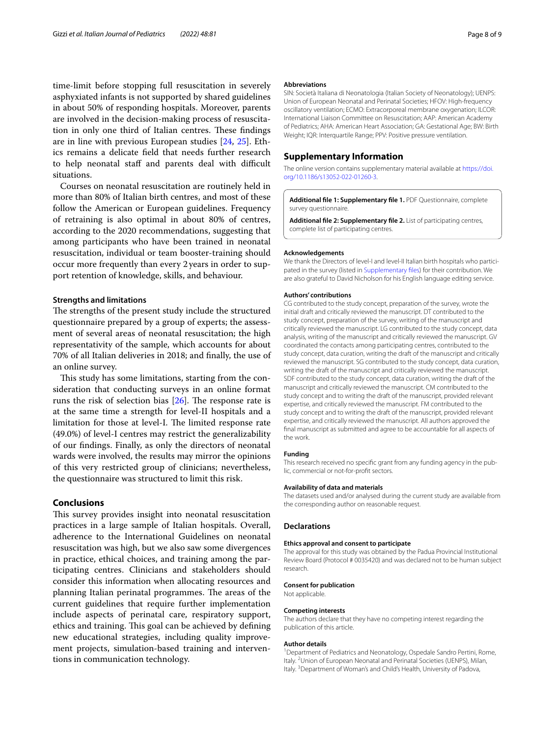time-limit before stopping full resuscitation in severely asphyxiated infants is not supported by shared guidelines in about 50% of responding hospitals. Moreover, parents are involved in the decision-making process of resuscitation in only one third of Italian centres. These findings are in line with previous European studies [\[24](#page-8-22), [25](#page-8-23)]. Ethics remains a delicate feld that needs further research to help neonatal staff and parents deal with difficult situations.

Courses on neonatal resuscitation are routinely held in more than 80% of Italian birth centres, and most of these follow the American or European guidelines. Frequency of retraining is also optimal in about 80% of centres, according to the 2020 recommendations, suggesting that among participants who have been trained in neonatal resuscitation, individual or team booster-training should occur more frequently than every 2years in order to support retention of knowledge, skills, and behaviour.

### **Strengths and limitations**

The strengths of the present study include the structured questionnaire prepared by a group of experts; the assessment of several areas of neonatal resuscitation; the high representativity of the sample, which accounts for about 70% of all Italian deliveries in 2018; and fnally, the use of an online survey.

This study has some limitations, starting from the consideration that conducting surveys in an online format runs the risk of selection bias  $[26]$  $[26]$ . The response rate is at the same time a strength for level-II hospitals and a limitation for those at level-I. The limited response rate (49.0%) of level-I centres may restrict the generalizability of our fndings. Finally, as only the directors of neonatal wards were involved, the results may mirror the opinions of this very restricted group of clinicians; nevertheless, the questionnaire was structured to limit this risk.

### **Conclusions**

This survey provides insight into neonatal resuscitation practices in a large sample of Italian hospitals. Overall, adherence to the International Guidelines on neonatal resuscitation was high, but we also saw some divergences in practice, ethical choices, and training among the participating centres. Clinicians and stakeholders should consider this information when allocating resources and planning Italian perinatal programmes. The areas of the current guidelines that require further implementation include aspects of perinatal care, respiratory support, ethics and training. This goal can be achieved by defining new educational strategies, including quality improvement projects, simulation-based training and interventions in communication technology.

### **Abbreviations**

SIN: Società Italiana di Neonatologia (Italian Society of Neonatology); UENPS: Union of European Neonatal and Perinatal Societies; HFOV: High-frequency oscillatory ventilation; ECMO: Extracorporeal membrane oxygenation; ILCOR: International Liaison Committee on Resuscitation; AAP: American Academy of Pediatrics; AHA: American Heart Association; GA: Gestational Age; BW: Birth Weight; IQR: Interquartile Range; PPV: Positive pressure ventilation.

### **Supplementary Information**

The online version contains supplementary material available at [https://doi.](https://doi.org/10.1186/s13052-022-01260-3) [org/10.1186/s13052-022-01260-3](https://doi.org/10.1186/s13052-022-01260-3).

<span id="page-7-1"></span><span id="page-7-0"></span>**Additional fle 1: Supplementary fle 1.** PDF Questionnaire, complete survey questionnaire.

**Additional fle 2: Supplementary fle 2.** List of participating centres, complete list of participating centres.

### **Acknowledgements**

We thank the Directors of level-I and level-II Italian birth hospitals who participated in the survey (listed in [Supplementary fles](#page-7-1)) for their contribution. We are also grateful to David Nicholson for his English language editing service.

### **Authors' contributions**

CG contributed to the study concept, preparation of the survey, wrote the initial draft and critically reviewed the manuscript. DT contributed to the study concept, preparation of the survey, writing of the manuscript and critically reviewed the manuscript. LG contributed to the study concept, data analysis, writing of the manuscript and critically reviewed the manuscript. GV coordinated the contacts among participating centres, contributed to the study concept, data curation, writing the draft of the manuscript and critically reviewed the manuscript. SG contributed to the study concept, data curation, writing the draft of the manuscript and critically reviewed the manuscript. SDF contributed to the study concept, data curation, writing the draft of the manuscript and critically reviewed the manuscript. CM contributed to the study concept and to writing the draft of the manuscript, provided relevant expertise, and critically reviewed the manuscript. FM contributed to the study concept and to writing the draft of the manuscript, provided relevant expertise, and critically reviewed the manuscript. All authors approved the fnal manuscript as submitted and agree to be accountable for all aspects of the work.

### **Funding**

This research received no specifc grant from any funding agency in the public, commercial or not-for-proft sectors.

### **Availability of data and materials**

The datasets used and/or analysed during the current study are available from the corresponding author on reasonable request.

### **Declarations**

### **Ethics approval and consent to participate**

The approval for this study was obtained by the Padua Provincial Institutional Review Board (Protocol # 0035420) and was declared not to be human subject research.

### **Consent for publication** Not applicable.

**Competing interests**

The authors declare that they have no competing interest regarding the publication of this article.

### **Author details**

<sup>1</sup> Department of Pediatrics and Neonatology, Ospedale Sandro Pertini, Rome, Italy. <sup>2</sup> Union of European Neonatal and Perinatal Societies (UENPS), Milan, Italy. <sup>3</sup> Department of Woman's and Child's Health, University of Padova,